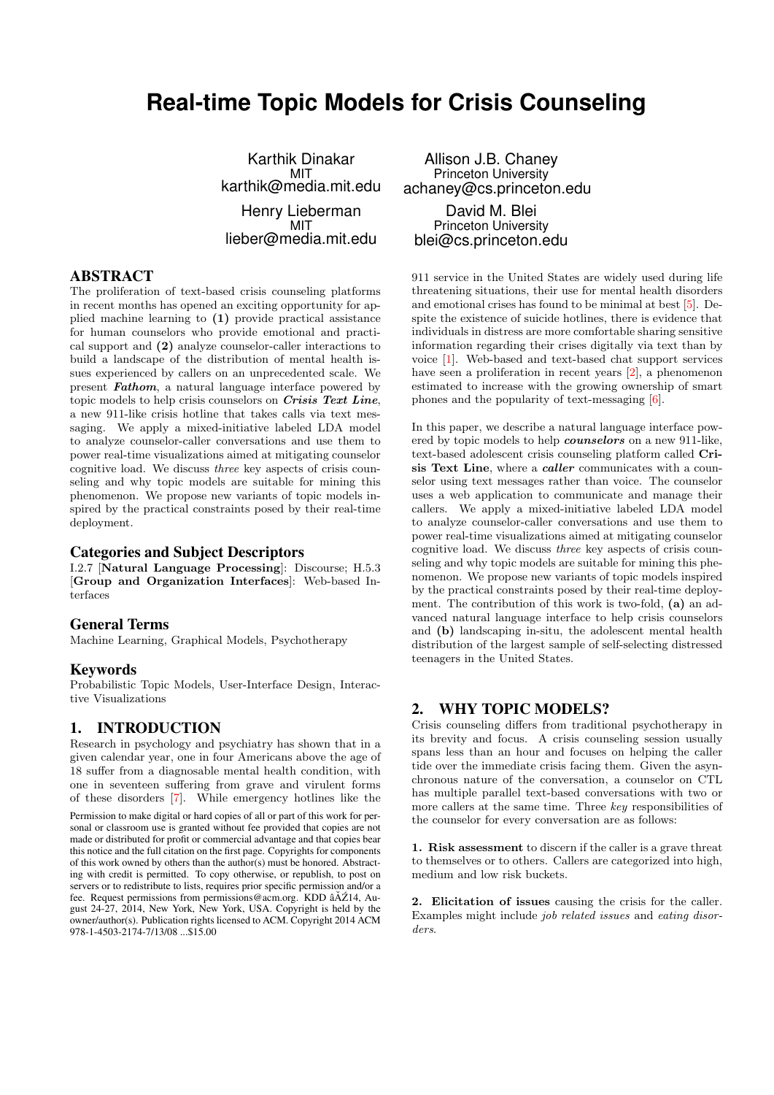# **Real-time Topic Models for Crisis Counseling**

Karthik Dinakar MIT karthik@media.mit.edu Henry Lieberman MIT lieber@media.mit.edu

# ABSTRACT

The proliferation of text-based crisis counseling platforms in recent months has opened an exciting opportunity for applied machine learning to (1) provide practical assistance for human counselors who provide emotional and practical support and (2) analyze counselor-caller interactions to build a landscape of the distribution of mental health issues experienced by callers on an unprecedented scale. We present Fathom, a natural language interface powered by topic models to help crisis counselors on Crisis Text Line, a new 911-like crisis hotline that takes calls via text messaging. We apply a mixed-initiative labeled LDA model to analyze counselor-caller conversations and use them to power real-time visualizations aimed at mitigating counselor cognitive load. We discuss three key aspects of crisis counseling and why topic models are suitable for mining this phenomenon. We propose new variants of topic models inspired by the practical constraints posed by their real-time deployment.

#### Categories and Subject Descriptors

I.2.7 [Natural Language Processing]: Discourse; H.5.3 [Group and Organization Interfaces]: Web-based Interfaces

#### General Terms

Machine Learning, Graphical Models, Psychotherapy

#### Keywords

Probabilistic Topic Models, User-Interface Design, Interactive Visualizations

#### 1. INTRODUCTION

978-1-4503-2174-7/13/08 ...\$15.00

Research in psychology and psychiatry has shown that in a given calendar year, one in four Americans above the age of 18 suffer from a diagnosable mental health condition, with one in seventeen suffering from grave and virulent forms of these disorders [\[7\]](#page-3-0). While emergency hotlines like the Permission to make digital or hard copies of all or part of this work for personal or classroom use is granted without fee provided that copies are not made or distributed for profit or commercial advantage and that copies bear this notice and the full citation on the first page. Copyrights for components of this work owned by others than the author(s) must be honored. Abstracting with credit is permitted. To copy otherwise, or republish, to post on servers or to redistribute to lists, requires prior specific permission and/or a fee. Request permissions from permissions@acm.org. KDD âAŽ14, August 24-27, 2014, New York, New York, USA. Copyright is held by the owner/author(s). Publication rights licensed to ACM. Copyright 2014 ACM

Allison J.B. Chaney Princeton University achaney@cs.princeton.edu David M. Blei Princeton University blei@cs.princeton.edu

911 service in the United States are widely used during life threatening situations, their use for mental health disorders and emotional crises has found to be minimal at best [\[5\]](#page-3-1). Despite the existence of suicide hotlines, there is evidence that individuals in distress are more comfortable sharing sensitive information regarding their crises digitally via text than by voice [\[1\]](#page-3-2). Web-based and text-based chat support services have seen a proliferation in recent years [\[2\]](#page-3-3), a phenomenon estimated to increase with the growing ownership of smart phones and the popularity of text-messaging [\[6\]](#page-3-4).

In this paper, we describe a natural language interface powered by topic models to help counselors on a new 911-like, text-based adolescent crisis counseling platform called Crisis Text Line, where a *caller* communicates with a counselor using text messages rather than voice. The counselor uses a web application to communicate and manage their callers. We apply a mixed-initiative labeled LDA model to analyze counselor-caller conversations and use them to power real-time visualizations aimed at mitigating counselor cognitive load. We discuss three key aspects of crisis counseling and why topic models are suitable for mining this phenomenon. We propose new variants of topic models inspired by the practical constraints posed by their real-time deployment. The contribution of this work is two-fold, (a) an advanced natural language interface to help crisis counselors and (b) landscaping in-situ, the adolescent mental health distribution of the largest sample of self-selecting distressed teenagers in the United States.

# 2. WHY TOPIC MODELS?

Crisis counseling differs from traditional psychotherapy in its brevity and focus. A crisis counseling session usually spans less than an hour and focuses on helping the caller tide over the immediate crisis facing them. Given the asynchronous nature of the conversation, a counselor on CTL has multiple parallel text-based conversations with two or more callers at the same time. Three key responsibilities of the counselor for every conversation are as follows:

1. Risk assessment to discern if the caller is a grave threat to themselves or to others. Callers are categorized into high, medium and low risk buckets.

2. Elicitation of issues causing the crisis for the caller. Examples might include job related issues and eating disorders.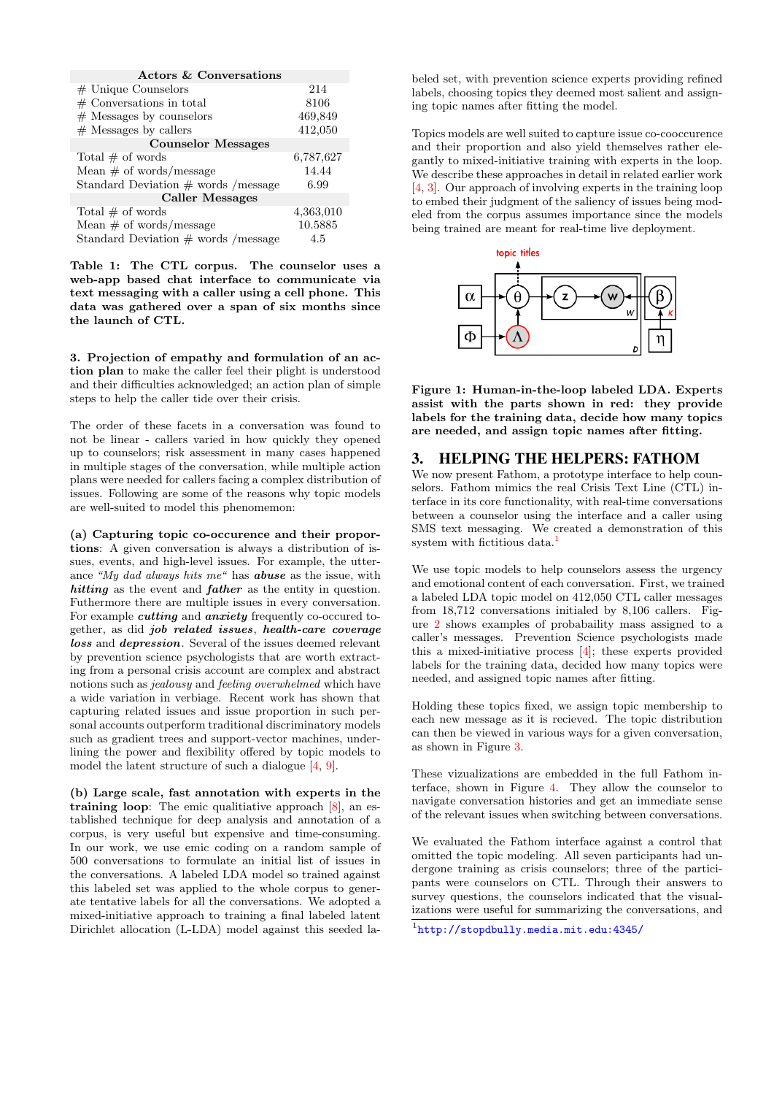| Actors & Conversations                 |           |
|----------------------------------------|-----------|
| $#$ Unique Counselors                  | 214       |
| $#$ Conversations in total             | 8106      |
| $#$ Messages by counselors             | 469,849   |
| $#$ Messages by callers                | 412,050   |
| <b>Counselor Messages</b>              |           |
| Total $#$ of words                     | 6,787,627 |
| Mean $\#$ of words/message             | 14.44     |
| Standard Deviation $\#$ words /message | 6.99      |
| <b>Caller Messages</b>                 |           |
| Total $\#$ of words                    | 4,363,010 |
| Mean $\#$ of words/message             | 10.5885   |
| Standard Deviation $\#$ words /message | 4.5       |

Table 1: The CTL corpus. The counselor uses a web-app based chat interface to communicate via text messaging with a caller using a cell phone. This data was gathered over a span of six months since the launch of CTL.

3. Projection of empathy and formulation of an action plan to make the caller feel their plight is understood and their difficulties acknowledged; an action plan of simple steps to help the caller tide over their crisis.

The order of these facets in a conversation was found to not be linear - callers varied in how quickly they opened up to counselors; risk assessment in many cases happened in multiple stages of the conversation, while multiple action plans were needed for callers facing a complex distribution of issues. Following are some of the reasons why topic models are well-suited to model this phenomemon:

(a) Capturing topic co-occurence and their proportions: A given conversation is always a distribution of issues, events, and high-level issues. For example, the utterance "My dad always hits me" has abuse as the issue, with hitting as the event and father as the entity in question. Futhermore there are multiple issues in every conversation. For example *cutting* and *anxiety* frequently co-occured together, as did job related issues, health-care coverage loss and depression. Several of the issues deemed relevant by prevention science psychologists that are worth extracting from a personal crisis account are complex and abstract notions such as jealousy and feeling overwhelmed which have a wide variation in verbiage. Recent work has shown that capturing related issues and issue proportion in such personal accounts outperform traditional discriminatory models such as gradient trees and support-vector machines, underlining the power and flexibility offered by topic models to model the latent structure of such a dialogue [\[4,](#page-3-5) [9\]](#page-3-6).

(b) Large scale, fast annotation with experts in the training loop: The emic qualitiative approach [\[8\]](#page-3-7), an established technique for deep analysis and annotation of a corpus, is very useful but expensive and time-consuming. In our work, we use emic coding on a random sample of 500 conversations to formulate an initial list of issues in the conversations. A labeled LDA model so trained against this labeled set was applied to the whole corpus to generate tentative labels for all the conversations. We adopted a mixed-initiative approach to training a final labeled latent Dirichlet allocation (L-LDA) model against this seeded la-

beled set, with prevention science experts providing refined labels, choosing topics they deemed most salient and assigning topic names after fitting the model.

Topics models are well suited to capture issue co-cooccurence and their proportion and also yield themselves rather elegantly to mixed-initiative training with experts in the loop. We describe these approaches in detail in related earlier work [\[4,](#page-3-5) [3\]](#page-3-8). Our approach of involving experts in the training loop to embed their judgment of the saliency of issues being modeled from the corpus assumes importance since the models being trained are meant for real-time live deployment.



Figure 1: Human-in-the-loop labeled LDA. Experts assist with the parts shown in red: they provide labels for the training data, decide how many topics are needed, and assign topic names after fitting.

### 3. HELPING THE HELPERS: FATHOM

We now present Fathom, a prototype interface to help counselors. Fathom mimics the real Crisis Text Line (CTL) interface in its core functionality, with real-time conversations between a counselor using the interface and a caller using SMS text messaging. We created a demonstration of this system with fictitious data.<sup>[1](#page-1-0)</sup>

We use topic models to help counselors assess the urgency and emotional content of each conversation. First, we trained a labeled LDA topic model on 412,050 CTL caller messages from 18,712 conversations initialed by 8,106 callers. Figure [2](#page-2-0) shows examples of probabaility mass assigned to a caller's messages. Prevention Science psychologists made this a mixed-initiative process [\[4\]](#page-3-5); these experts provided labels for the training data, decided how many topics were needed, and assigned topic names after fitting.

Holding these topics fixed, we assign topic membership to each new message as it is recieved. The topic distribution can then be viewed in various ways for a given conversation, as shown in Figure [3.](#page-2-0)

These vizualizations are embedded in the full Fathom interface, shown in Figure [4.](#page-2-1) They allow the counselor to navigate conversation histories and get an immediate sense of the relevant issues when switching between conversations.

We evaluated the Fathom interface against a control that omitted the topic modeling. All seven participants had undergone training as crisis counselors; three of the participants were counselors on CTL. Through their answers to survey questions, the counselors indicated that the visualizations were useful for summarizing the conversations, and

<span id="page-1-0"></span>1 <http://stopdbully.media.mit.edu:4345/>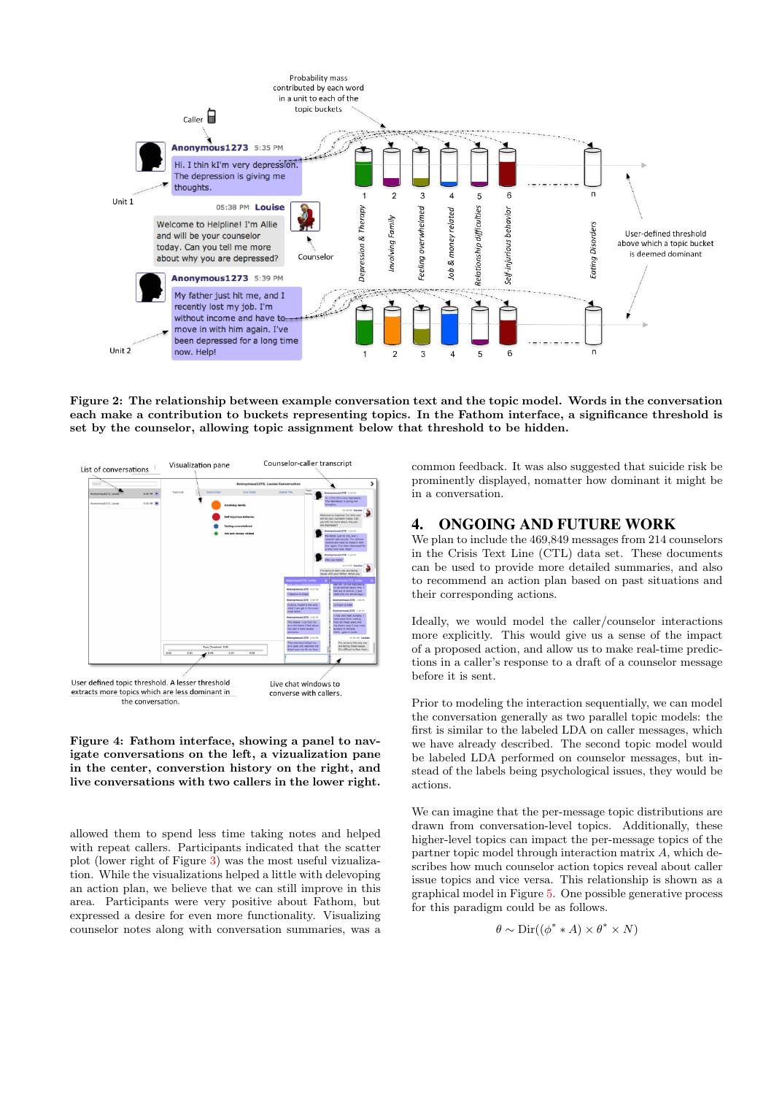

<span id="page-2-0"></span>Figure 2: The relationship between example conversation text and the topic model. Words in the conversation each make a contribution to buckets representing topics. In the Fathom interface, a significance threshold is set by the counselor, allowing topic assignment below that threshold to be hidden.



<span id="page-2-1"></span>Figure 4: Fathom interface, showing a panel to navigate conversations on the left, a vizualization pane in the center, converstion history on the right, and live conversations with two callers in the lower right.

allowed them to spend less time taking notes and helped with repeat callers. Participants indicated that the scatter plot (lower right of Figure [3\)](#page-2-0) was the most useful vizualization. While the visualizations helped a little with delevoping an action plan, we believe that we can still improve in this area. Participants were very positive about Fathom, but expressed a desire for even more functionality. Visualizing counselor notes along with conversation summaries, was a

common feedback. It was also suggested that suicide risk be prominently displayed, nomatter how dominant it might be in a conversation.

#### 4. ONGOING AND FUTURE WORK

We plan to include the 469,849 messages from 214 counselors in the Crisis Text Line (CTL) data set. These documents can be used to provide more detailed summaries, and also to recommend an action plan based on past situations and their corresponding actions.

Ideally, we would model the caller/counselor interactions more explicitly. This would give us a sense of the impact of a proposed action, and allow us to make real-time predictions in a caller's response to a draft of a counselor message before it is sent.

Prior to modeling the interaction sequentially, we can model the conversation generally as two parallel topic models: the first is similar to the labeled LDA on caller messages, which we have already described. The second topic model would be labeled LDA performed on counselor messages, but instead of the labels being psychological issues, they would be actions.

We can imagine that the per-message topic distributions are drawn from conversation-level topics. Additionally, these higher-level topics can impact the per-message topics of the partner topic model through interaction matrix A, which describes how much counselor action topics reveal about caller issue topics and vice versa. This relationship is shown as a graphical model in Figure [5.](#page-3-9) One possible generative process for this paradigm could be as follows.

$$
\theta \sim \text{Dir}((\phi^* * A) \times \theta^* \times N)
$$